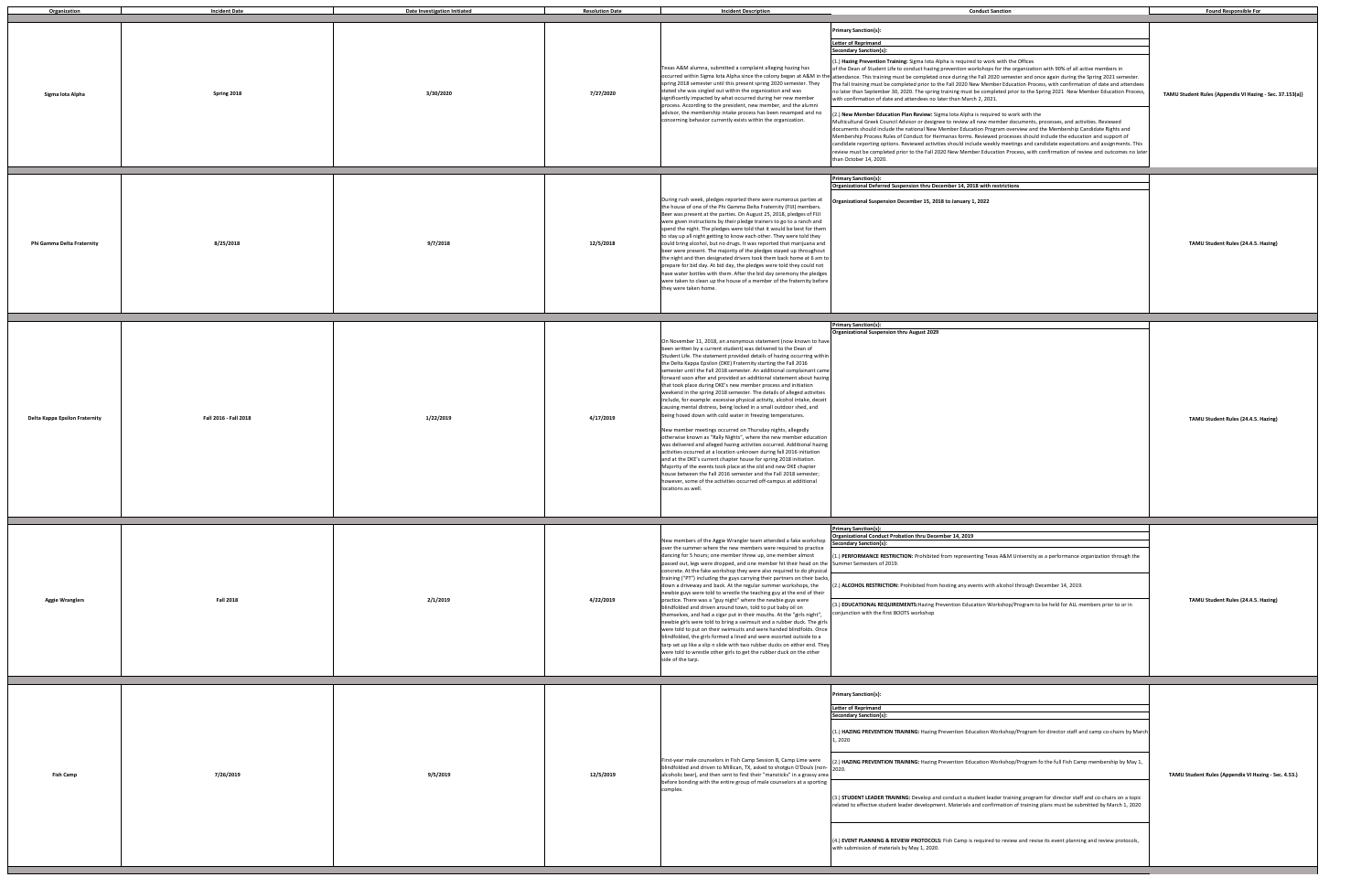| 1                                                                                                                                                                                                                                                                                                                                                                                                                                                                                                                                                 | <b>Found Responsible For</b>                             |
|---------------------------------------------------------------------------------------------------------------------------------------------------------------------------------------------------------------------------------------------------------------------------------------------------------------------------------------------------------------------------------------------------------------------------------------------------------------------------------------------------------------------------------------------------|----------------------------------------------------------|
| the Offices<br>e organization with 90% of all active members in<br>ester and once again during the Spring 2021 semester.<br>ucation Process, with confirmation of date and attendees<br>orior to the Spring 2021 New Member Education Process,<br>vork with the<br>documents, processes, and activities. Reviewed<br>verview and the Membership Candidate Rights and<br>esses should include the education and support of<br>etings and candidate expectations and assignments. This<br>rocess, with confirmation of review and outcomes no later | TAMU Student Rules {Appendix VI Hazing - Sec. 37.153(a)} |
| ions                                                                                                                                                                                                                                                                                                                                                                                                                                                                                                                                              | TAMU Student Rules (24.4.5. Hazing)                      |
|                                                                                                                                                                                                                                                                                                                                                                                                                                                                                                                                                   | TAMU Student Rules (24.4.5. Hazing)                      |
| A University as a performance organization through the<br>ol through December 14, 2019.<br>p/Program to be held for ALL members prior to or in                                                                                                                                                                                                                                                                                                                                                                                                    | TAMU Student Rules (24.4.5. Hazing)                      |
| op/Program for director staff and camp co-chairs by March<br>op/Program fo the full Fish Camp membership by May 1,<br>ining program for director staff and co-chairs on a topic<br>n of training plans must be submitted by March 1, 2020<br>iew and revise its event planning and review protocols,                                                                                                                                                                                                                                              | TAMU Student Rules {Appendix VI Hazing - Sec. 4.53.)     |

| Organization                          | <b>Incident Date</b>  | <b>Date Investigation Initiated</b> | <b>Resolution Date</b> | <b>Incident Description</b>                                                                                                                                                                                                                                                                                                                                                                                                                                                                                                                                                                                                                                                                                                                                                                                                                                                                                                                                                                                                                                                                                                                                                                                                                                                                                                                                                                    | <b>Conduct Sanction</b>                                                                                                                                                                                                                                                                                                                                                                                                                                                                                                                                                                                                                                                                                                                                                                                                                                                                                                                                                                                                                                                                                                                                                                                                                                                                                                                                                                                                                                                                                                                                                                                                               | <b>Found Responsible For</b>                            |
|---------------------------------------|-----------------------|-------------------------------------|------------------------|------------------------------------------------------------------------------------------------------------------------------------------------------------------------------------------------------------------------------------------------------------------------------------------------------------------------------------------------------------------------------------------------------------------------------------------------------------------------------------------------------------------------------------------------------------------------------------------------------------------------------------------------------------------------------------------------------------------------------------------------------------------------------------------------------------------------------------------------------------------------------------------------------------------------------------------------------------------------------------------------------------------------------------------------------------------------------------------------------------------------------------------------------------------------------------------------------------------------------------------------------------------------------------------------------------------------------------------------------------------------------------------------|---------------------------------------------------------------------------------------------------------------------------------------------------------------------------------------------------------------------------------------------------------------------------------------------------------------------------------------------------------------------------------------------------------------------------------------------------------------------------------------------------------------------------------------------------------------------------------------------------------------------------------------------------------------------------------------------------------------------------------------------------------------------------------------------------------------------------------------------------------------------------------------------------------------------------------------------------------------------------------------------------------------------------------------------------------------------------------------------------------------------------------------------------------------------------------------------------------------------------------------------------------------------------------------------------------------------------------------------------------------------------------------------------------------------------------------------------------------------------------------------------------------------------------------------------------------------------------------------------------------------------------------|---------------------------------------------------------|
| Sigma lota Alpha                      | Spring 2018           | 3/30/2020                           | 7/27/2020              | Texas A&M alumna, submitted a complaint alleging hazing has<br>spring 2018 semester until this present spring 2020 semester. They<br>stated she was singled out within the organization and was<br>significantly impacted by what occurred during her new member<br>process. According to the president, new member, and the alumni<br>advisor, the membership intake process has been revamped and no<br>concerning behavior currently exists within the organization.                                                                                                                                                                                                                                                                                                                                                                                                                                                                                                                                                                                                                                                                                                                                                                                                                                                                                                                        | Primary Sanction{s}:<br><b>Letter of Reprimand</b><br><b>Secondary Sanction{s}:</b><br>(1.) Hazing Prevention Training: Sigma lota Alpha is required to work with the Offices<br>of the Dean of Student Life to conduct hazing prevention workshops for the organization with 90% of all active members in<br>occurred within Sigma lota Alpha since the colony began at A&M in the attendance. This training must be completed once during the Fall 2020 semester and once again during the Spring 2021 semester.<br>The fall training must be completed prior to the Fall 2020 New Member Education Process, with confirmation of date and attendees<br>no later than September 30, 2020. The spring training must be completed prior to the Spring 2021 New Member Education Process,<br>with confirmation of date and attendees no later than March 2, 2021.<br>(2.) New Member Education Plan Review: Sigma lota Alpha is required to work with the<br>Multicultural Greek Council Advisor or designee to review all new member documents, processes, and activities. Reviewed<br>documents should include the national New Member Education Program overview and the Membership Candidate Rights and<br>Membership Process Rules of Conduct for Hermanas forms. Reviewed processes should include the education and support of<br>candidate reporting options. Reviewed activities should include weekly meetings and candidate expectations and assignments. This<br>review must be completed prior to the Fall 2020 New Member Education Process, with confirmation of review and outcomes no later<br>than October 14, 2020. | TAMU Student Rules {Appendix VI Hazing - Sec. 37.153(a) |
| Phi Gamma Delta Fraternity            | 8/25/2018             | 9/7/2018                            | 12/5/2018              | During rush week, pledges reported there were numerous parties at<br>the house of one of the Phi Gamma Delta Fraternity (FIJI) members.<br>Beer was present at the parties. On August 25, 2018, pledges of FIJI<br>were given instructions by their pledge trainers to go to a ranch and<br>spend the night. The pledges were told that it would be best for them<br>to stay up all night getting to know each other. They were told they<br>could bring alcohol, but no drugs. It was reported that marijuana and<br>beer were present. The majority of the pledges stayed up throughout<br>the night and then designated drivers took them back home at 6 am to<br>prepare for bid day. At bid day, the pledges were told they could not<br>have water bottles with them. After the bid day ceremony the pledges<br>were taken to clean up the house of a member of the fraternity before<br>they were taken home.                                                                                                                                                                                                                                                                                                                                                                                                                                                                           | <b>Primary Sanction{s}:</b><br>Organizational Deferred Suspension thru December 14, 2018 with restrictions<br>Organizational Suspension December 15, 2018 to January 1, 2022                                                                                                                                                                                                                                                                                                                                                                                                                                                                                                                                                                                                                                                                                                                                                                                                                                                                                                                                                                                                                                                                                                                                                                                                                                                                                                                                                                                                                                                          | TAMU Student Rules (24.4.5. Hazing)                     |
| <b>Delta Kappa Epsilon Fraternity</b> | Fall 2016 - Fall 2018 | 1/22/2019                           | 4/17/2019              | On November 11, 2018, an anonymous statement (now known to have<br>been written by a current student) was delivered to the Dean of<br>Student Life. The statement provided details of hazing occurring within<br>the Delta Kappa Epsilon (DKE) Fraternity starting the Fall 2016<br>semester until the Fall 2018 semester. An additional complainant came<br>forward soon after and provided an additional statement about hazing<br>that took place during DKE's new member process and initiation<br>weekend in the spring 2018 semester. The details of alleged activities<br>include, for example: excessive physical activity, alcohol intake, deceit<br>causing mental distress, being locked in a small outdoor shed, and<br>being hosed down with cold water in freezing temperatures.<br>New member meetings occurred on Thursday nights, allegedly<br>otherwise known as "Rally Nights", where the new member education<br>was delivered and alleged hazing activities occurred. Additional hazing<br>activities occurred at a location unknown during fall 2016 initiation<br>and at the DKE's current chapter house for spring 2018 initiation.<br>Majority of the events took place at the old and new DKE chapter<br>house between the Fall 2016 semester and the Fall 2018 semester;<br>however, some of the activities occurred off-campus at additional<br>locations as well. | <b>Primary Sanction{s}:</b><br>Organizational Suspension thru August 2029                                                                                                                                                                                                                                                                                                                                                                                                                                                                                                                                                                                                                                                                                                                                                                                                                                                                                                                                                                                                                                                                                                                                                                                                                                                                                                                                                                                                                                                                                                                                                             | TAMU Student Rules (24.4.5. Hazing)                     |
| <b>Aggie Wranglers</b>                | <b>Fall 2018</b>      | 2/1/2019                            | 4/22/2019              | New members of the Aggie Wrangler team attended a fake workshop<br>over the summer where the new members were required to practice<br>dancing for 5 hours; one member threw up, one member almost<br>passed out, legs were dropped, and one member hit their head on the<br>concrete. At the fake workshop they were also required to do physical<br>training ("PT") including the guys carrying their partners on their backs,<br>down a driveway and back. At the regular summer workshops, the<br>newbie guys were told to wrestle the teaching guy at the end of their<br>practice. There was a "guy night" where the newbie guys were<br>blindfolded and driven around town, told to put baby oil on<br>themselves, and had a cigar put in their mouths. At the "girls night",<br>newbie girls were told to bring a swimsuit and a rubber duck. The girls<br>were told to put on their swimsuits and were handed blindfolds. Once<br>blindfolded, the girls formed a lined and were escorted outside to a<br>tarp set up like a slip n slide with two rubber ducks on either end. They<br>were told to wrestle other girls to get the rubber duck on the other<br>side of the tarp.                                                                                                                                                                                                       | Primary Sanction{s}:<br>Organizational Conduct Probation thru December 14, 2019<br>Secondary Sanction{s}:<br>(1.) PERFORMANCE RESTRICTION: Prohibited from representing Texas A&M University as a performance organization through the<br>Summer Semesters of 2019.<br>(2.) ALCOHOL RESTRICTION: Prohibited from hosting any events with alcohol through December 14, 2019.<br>(3.) EDUCATIONAL REQUIREMENTS: Hazing Prevention Education Workshop/Program to be held for ALL members prior to or in<br>conjunction with the first BOOTS workshop                                                                                                                                                                                                                                                                                                                                                                                                                                                                                                                                                                                                                                                                                                                                                                                                                                                                                                                                                                                                                                                                                     | TAMU Student Rules (24.4.5. Hazing)                     |
| <b>Fish Camp</b>                      | 7/26/2019             | 9/5/2019                            | 12/5/2019              | First-year male counselors in Fish Camp Session B, Camp Lime were<br>blindfolded and driven to Millican, TX, asked to shotgun O'Douls (non-2020.<br>alcoholic beer), and then sent to find their "mansticks" in a grassy area<br>before bonding with the entire group of male counselors at a sporting<br>omplex.                                                                                                                                                                                                                                                                                                                                                                                                                                                                                                                                                                                                                                                                                                                                                                                                                                                                                                                                                                                                                                                                              | Primary Sanction{s}:<br><b>Letter of Reprimand</b><br>Secondary Sanction{s}:<br>(1.) HAZING PREVENTION TRAINING: Hazing Prevention Education Workshop/Program for director staff and camp co-chairs by March<br>1, 2020<br>(2.) HAZING PREVENTION TRAINING: Hazing Prevention Education Workshop/Program fo the full Fish Camp membership by May 1,<br>(3.) STUDENT LEADER TRAINING: Develop and conduct a student leader training program for director staff and co-chairs on a topic<br>related to effective student leader development. Materials and confirmation of training plans must be submitted by March 1, 2020<br>(4.) EVENT PLANNING & REVIEW PROTOCOLS: Fish Camp is required to review and revise its event planning and review protocols,<br>with submission of materials by May 1, 2020.                                                                                                                                                                                                                                                                                                                                                                                                                                                                                                                                                                                                                                                                                                                                                                                                                             | TAMU Student Rules {Appendix VI Hazing - Sec. 4.53.)    |

ı.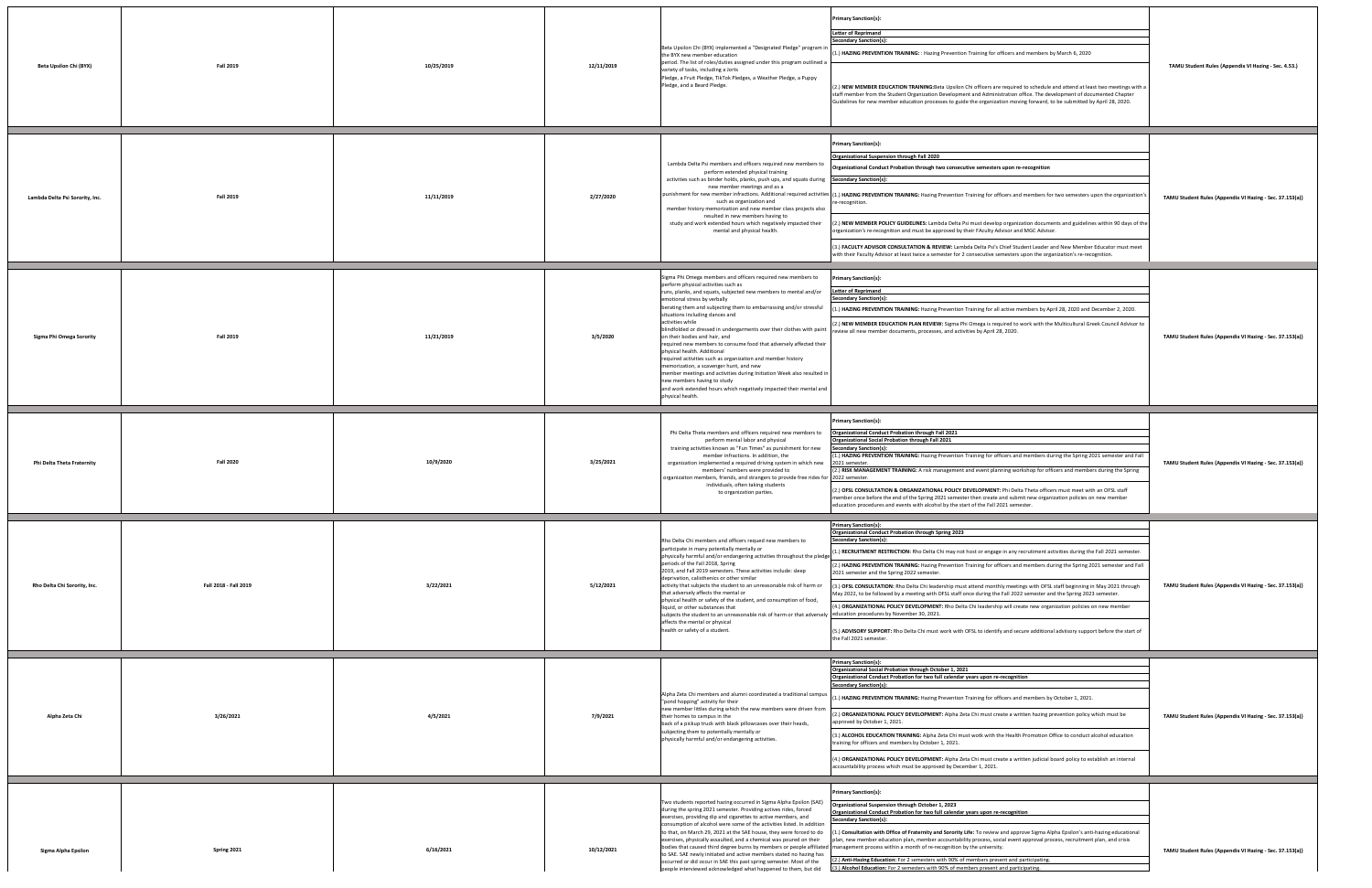| Beta Upsilon Chi (BYX)          | <b>Fall 2019</b>      | 10/25/2019 | 12/11/2019 | Beta Upsilon Chi (BYX) implemented a "Designated Pledge" program i<br>the BYX new member education<br>period. The list of roles/duties assigned under this program outlined a<br>variety of tasks, including a Jorts<br>Pledge, a Fruit Pledge, TikTok Pledges, a Weather Pledge, a Puppy<br>Pledge, and a Beard Pledge.                                                                                                                                                                                                                                                                                                                                                                                                                                                                                                                                         | Primary Sanction{s}:<br><b>Letter of Reprimand</b><br>Secondary Sanction{s}:<br>1.) HAZING PREVENTION TRAINING: : Hazing Prevention Training for officers and members by March 6, 2020<br>(2.) NEW MEMBER EDUCATION TRAINING: Beta Upsilon Chi officers are required to schedule and attend at least two meetings with a<br>staff member from the Student Organization Development and Administration office. The development of documented Chapter<br>Guidelines for new member education processes to guide the organization moving forward, to be submitted by April 28, 2020.                                                                                                                                                                                                                                                                                                                                                                                                                                                    | TAMU Student Rules {Appendix VI Hazing - Sec. 4.53.)    |
|---------------------------------|-----------------------|------------|------------|------------------------------------------------------------------------------------------------------------------------------------------------------------------------------------------------------------------------------------------------------------------------------------------------------------------------------------------------------------------------------------------------------------------------------------------------------------------------------------------------------------------------------------------------------------------------------------------------------------------------------------------------------------------------------------------------------------------------------------------------------------------------------------------------------------------------------------------------------------------|--------------------------------------------------------------------------------------------------------------------------------------------------------------------------------------------------------------------------------------------------------------------------------------------------------------------------------------------------------------------------------------------------------------------------------------------------------------------------------------------------------------------------------------------------------------------------------------------------------------------------------------------------------------------------------------------------------------------------------------------------------------------------------------------------------------------------------------------------------------------------------------------------------------------------------------------------------------------------------------------------------------------------------------|---------------------------------------------------------|
| Lambda Delta Psi Sorority, Inc. | <b>Fall 2019</b>      | 11/11/2019 | 2/27/2020  | Lambda Delta Psi members and officers required new members to<br>perform extended physical training<br>activities such as binder holds, planks, push ups, and squats during<br>new member meetings and as a<br>such as organization and<br>member history memorization and new member class projects also<br>resulted in new members having to<br>study and work extended hours which negatively impacted their<br>mental and physical health.                                                                                                                                                                                                                                                                                                                                                                                                                   | Primary Sanction{s}:<br>Organizational Suspension through Fall 2020<br>Organizational Conduct Probation through two consecutive semesters upon re-recognition<br><b>Secondary Sanction{s}:</b><br>punishment for new member infractions. Additional required activities (1.) HAZING PREVENTION TRAINING: Hazing Prevention Training for officers and members for two semesters upon the organization's<br>e-recognition.<br>2.) NEW MEMBER POLICY GUIDELINES: Lambda Delta Psi must develop organization documents and guidelines within 90 days of the<br>organization's re-recognition and must be approved by their FAculty Advisor and MGC Advisor.<br>(3.) FACULTY ADVISOR CONSULTATION & REVIEW: Lambda Delta Psi's Chief Student Leader and New Member Educator must meet<br>with their Faculty Advisor at least twice a semester for 2 consecutive semesters upon the organization's re-recognition.                                                                                                                         | TAMU Student Rules {Appendix VI Hazing - Sec. 37.153(a) |
| Sigma Phi Omega Sorority        | <b>Fall 2019</b>      | 11/21/2019 | 3/5/2020   | Sigma Phi Omega members and officers required new members to<br>perform physical activities such as<br>runs, planks, and squats, subjected new members to mental and/or<br>emotional stress by verbally<br>berating them and subjecting them to embarrassing and/or stressful<br>situations including dances and<br>activities while<br>blindfolded or dressed in undergarments over their clothes with paint<br>on their bodies and hair, and<br>required new members to consume food that adversely affected their<br>physical health. Additional<br>required activities such as organization and member history<br>memorization, a scavenger hunt, and new<br>member meetings and activities during Initiation Week also resulted in<br>new members having to study<br>and work extended hours which negatively impacted their mental and<br>physical health. | Primary Sanction{s}:<br><b>Letter of Reprimand</b><br>Secondary Sanction{s}:<br>(1.) HAZING PREVENTION TRAINING: Hazing Prevention Training for all active members by April 28, 2020 and December 2, 2020.<br>(2.) NEW MEMBER EDUCATION PLAN REVIEW: Sigma Phi Omega is required to work with the Multicultural Greek Council Advisor to<br>review all new member documents, processes, and activities by April 28, 2020.                                                                                                                                                                                                                                                                                                                                                                                                                                                                                                                                                                                                            | TAMU Student Rules {Appendix VI Hazing - Sec. 37.153(a) |
| Phi Delta Theta Fraternity      | <b>Fall 2020</b>      | 10/9/2020  | 3/25/2021  | Phi Delta Theta members and officers required new members to<br>perform menial labor and physical<br>training activities known as "Fun Times" as punishment for new<br>member infractions. In addition, the<br>organization implemented a required driving system in which new<br>members' numbers were provided to<br>organizaiton members, friends, and strangers to provide free rides for<br>individuals, often taking students<br>to organization parties.                                                                                                                                                                                                                                                                                                                                                                                                  | rimary Sanction{s}:<br>Organizational Conduct Probation through Fall 2021<br>Organizational Social Probation through Fall 2021<br><b>Secondary Sanction{s}</b><br>L.) HAZING PREVENTION TRAINING: Hazing Prevention Training for officers and members during the Spring 2021 semester and Fall<br>2021 semeste<br>(2.) RISK MANAGEMENT TRAINING: A risk management and event planning workshop for officers and members during the Spring<br>2022 semester.<br>(2.) OFSL CONSULTATION & ORGANIZATIONAL POLICY DEVELOPMENT: Phi Delta Theta officers must meet with an OFSL staff<br>member once before the end of the Spring 2021 semester then create and submit new organization policies on new member<br>education procedures and events with alcohol by the start of the Fall 2021 semester.                                                                                                                                                                                                                                    | TAMU Student Rules {Appendix VI Hazing - Sec. 37.153(a) |
| Rho Delta Chi Sorority, Inc.    | Fall 2018 - Fall 2019 | 3/22/2021  | 5/12/2021  | Rho Delta Chi members and officers requed new members to<br>participate in many potentially mentally or<br>physically harmful and/or endangering activities throughout the pledge<br>periods of the Fall 2018, Spring<br>2019, and Fall 2019 semesters. These activities include: sleep<br>deprivation, calisthenics or other similar<br>activity that subjects the student to an unreasonable risk of harm or<br>that adversely affects the mental or<br>physical health or safety of the student, and consumption of food,<br>liquid, or other substances that<br>subjects the student to an unreasonable risk of harm or that adversely<br>affects the mental or physical<br>health or safety of a student.                                                                                                                                                   | <b>Primary Sanction{s}</b><br><b>Organizational Conduct Probation through Spring 2023</b><br>Secondary Sanction{s}:<br>(1.) RECRUITMENT RESTRICTION: Rho Delta Chi may not host or engage in any recrutiment activities during the Fall 2021 semester.<br>(2.) HAZING PREVENTION TRAINING: Hazing Prevention Training for officers and members during the Spring 2021 semester and Fall<br>2021 semester and the Spring 2022 semester.<br>(3.) OFSL CONSULTATION: Rho Delta Chi leadership must attend monthly meetings with OFSL staff beginning in May 2021 through<br>May 2022, to be followed by a meeting with OFSL staff once during the Fall 2022 semester and the Spring 2023 semester.<br>(4.) ORGANIZATIONAL POLICY DEVELOPMENT: Rho Delta Chi leadership will create new organization policies on new member<br>education procedures by November 30, 2021.<br>(5.) ADVISORY SUPPORT: Rho Delta Chi must work with OFSL to identify and secure additional adviisory support before the start of<br>the Fall 2021 semester. | TAMU Student Rules {Appendix VI Hazing - Sec. 37.153(a) |
| Alpha Zeta Chi                  | 3/26/2021             | 4/5/2021   | 7/9/2021   | Alpha Zeta Chi members and alumni coordinated a traditional campus<br>"pond hopping" activity for their<br>new member littles during which the new members were driven from<br>their homes to campus in the<br>back of a pickup truck with black pillowcases over their heads,<br>subjecting them to potentially mentally or<br>physically harmful and/or endangering activities.                                                                                                                                                                                                                                                                                                                                                                                                                                                                                | Primary Sanction{s}:<br>Organizational Social Probation through October 1, 2021<br>Organizational Conduct Probation for two full calendar years upon re-recognition<br>Secondary Sanction{s}:<br>1.) HAZING PREVENTION TRAINING: Hazing Prevention Training for officers and members by October 1, 2021.<br>(2.) ORGANIZATIONAL POLICY DEVELOPMENT: Alpha Zeta Chi must create a written hazing prevention policy which must be<br>approved by October 1, 2021.<br>(3.) ALCOHOL EDUCATION TRAINING: Alpha Zeta Chi must wotk with the Health Promotion Office to conduct alcohol education<br>training for officers and members by October 1, 2021.<br>(4.) ORGANIZATIONAL POLICY DEVELOPMENT: Alpha Zeta Chi must create a written judicial board policy to establish an internal<br>accountability process which must be approved by December 1, 2021.                                                                                                                                                                             | TAMU Student Rules {Appendix VI Hazing - Sec. 37.153(a) |
| Sigma Alpha Epsilon             | Spring 2021           | 6/16/2021  | 10/12/2021 | Two students reported hazing occurred in Sigma Alpha Epsilon (SAE)<br>during the spring 2021 semester. Providing actives rides, forced<br>exercises, providing dip and cigarettes to active members, and<br>consumption of alcohol were some of the activities listed. In addition<br>to that, on March 29, 2021 at the SAE house, they were forced to do<br>exercises, physically assaulted, and a chemical was poured on their<br>to SAE. SAE newly initiated and active members stated no hazing has<br>occurred or did occur in SAE this past spring semester. Most of the<br>people interviewed acknowledged what happened to them, but did                                                                                                                                                                                                                 | Primary Sanction{s}:<br>Organizational Suspension through October 1, 2023<br>Organizational Conduct Probation for two full calendar years upon re-recognition<br>iecondary Sanction{s}:<br>(1.) Consultation with Office of Fraternity and Sorority Life: To review and approve Sigma Alpha Epsilon's anti-hazing educational<br>plan, new member education plan, member accountability process, social event approval process, recruitment plan, and crisis<br>bodies that caused third degree burns by members or people affiliated management process within a month of re-recognition by the university.<br>(2.) Anti-Hazing Education: For 2 semesters with 90% of members present and participating<br>(3.) Alcohol Education: For 2 semesters with 90% of members present and participating.                                                                                                                                                                                                                                  | TAMU Student Rules {Appendix VI Hazing - Sec. 37.153(a) |

| officers and members by March 6, 2020                                                                                                                                                                                                                                                                                                                                                                                                                                                                       | TAMU Student Rules {Appendix VI Hazing - Sec. 4.53.)     |
|-------------------------------------------------------------------------------------------------------------------------------------------------------------------------------------------------------------------------------------------------------------------------------------------------------------------------------------------------------------------------------------------------------------------------------------------------------------------------------------------------------------|----------------------------------------------------------|
| e required to schedule and attend at least two meetings with a<br>stration office. The development of documented Chapter<br>tion moving forward, to be submitted by April 28, 2020.                                                                                                                                                                                                                                                                                                                         |                                                          |
|                                                                                                                                                                                                                                                                                                                                                                                                                                                                                                             |                                                          |
| s upon re-recognition                                                                                                                                                                                                                                                                                                                                                                                                                                                                                       |                                                          |
| ficers and members for two semesters upon the organization's                                                                                                                                                                                                                                                                                                                                                                                                                                                | TAMU Student Rules {Appendix VI Hazing - Sec. 37.153(a)} |
| p organization documents and guidelines within 90 days of the<br>dvisor and MGC Advisor.                                                                                                                                                                                                                                                                                                                                                                                                                    |                                                          |
| Chief Student Leader and New Member Educator must meet<br>emesters upon the organization's re-recognition.                                                                                                                                                                                                                                                                                                                                                                                                  |                                                          |
|                                                                                                                                                                                                                                                                                                                                                                                                                                                                                                             |                                                          |
| active members by April 28, 2020 and December 2, 2020.                                                                                                                                                                                                                                                                                                                                                                                                                                                      |                                                          |
| uired to work with the Multicultural Greek Council Advisor to<br>8, 2020.                                                                                                                                                                                                                                                                                                                                                                                                                                   | TAMU Student Rules {Appendix VI Hazing - Sec. 37.153(a)} |
|                                                                                                                                                                                                                                                                                                                                                                                                                                                                                                             |                                                          |
|                                                                                                                                                                                                                                                                                                                                                                                                                                                                                                             |                                                          |
|                                                                                                                                                                                                                                                                                                                                                                                                                                                                                                             |                                                          |
| ficers and members during the Spring 2021 semester and Fall<br>ining workshop for officers and members during the Spring                                                                                                                                                                                                                                                                                                                                                                                    | TAMU Student Rules {Appendix VI Hazing - Sec. 37.153(a)} |
|                                                                                                                                                                                                                                                                                                                                                                                                                                                                                                             |                                                          |
|                                                                                                                                                                                                                                                                                                                                                                                                                                                                                                             |                                                          |
|                                                                                                                                                                                                                                                                                                                                                                                                                                                                                                             |                                                          |
|                                                                                                                                                                                                                                                                                                                                                                                                                                                                                                             |                                                          |
|                                                                                                                                                                                                                                                                                                                                                                                                                                                                                                             |                                                          |
|                                                                                                                                                                                                                                                                                                                                                                                                                                                                                                             | TAMU Student Rules {Appendix VI Hazing - Sec. 37.153(a)} |
|                                                                                                                                                                                                                                                                                                                                                                                                                                                                                                             |                                                          |
|                                                                                                                                                                                                                                                                                                                                                                                                                                                                                                             |                                                          |
| : Phi Delta Theta officers must meet with an OFSL staff<br>and submit new organization policies on new member<br>021 semester.<br>e in any recrutiment activities during the Fall 2021 semester.<br>ficers and members during the Spring 2021 semester and Fall<br>hly meetings with OFSL staff beginning in May 2021 through<br>Fall 2022 semester and the Spring 2023 semester.<br>p will create new organization policies on new member<br>y and secure additional adviisory support before the start of |                                                          |
| -recognition                                                                                                                                                                                                                                                                                                                                                                                                                                                                                                |                                                          |
| ficers and members by October 1, 2021.                                                                                                                                                                                                                                                                                                                                                                                                                                                                      |                                                          |
| eate a written hazing prevention policy which must be                                                                                                                                                                                                                                                                                                                                                                                                                                                       | TAMU Student Rules {Appendix VI Hazing - Sec. 37.153(a)} |
| he Health Promotion Office to conduct alcohol education                                                                                                                                                                                                                                                                                                                                                                                                                                                     |                                                          |
|                                                                                                                                                                                                                                                                                                                                                                                                                                                                                                             |                                                          |
|                                                                                                                                                                                                                                                                                                                                                                                                                                                                                                             |                                                          |
| eate a written judicial board policy to establish an internal<br>-recognition                                                                                                                                                                                                                                                                                                                                                                                                                               |                                                          |
| and approve Sigma Alpha Epsilon's anti-hazing educational<br>cial event approval process, recruitment plan, and crisis<br>y.                                                                                                                                                                                                                                                                                                                                                                                | TAMU Student Rules {Appendix VI Hazing - Sec. 37.153(a)} |